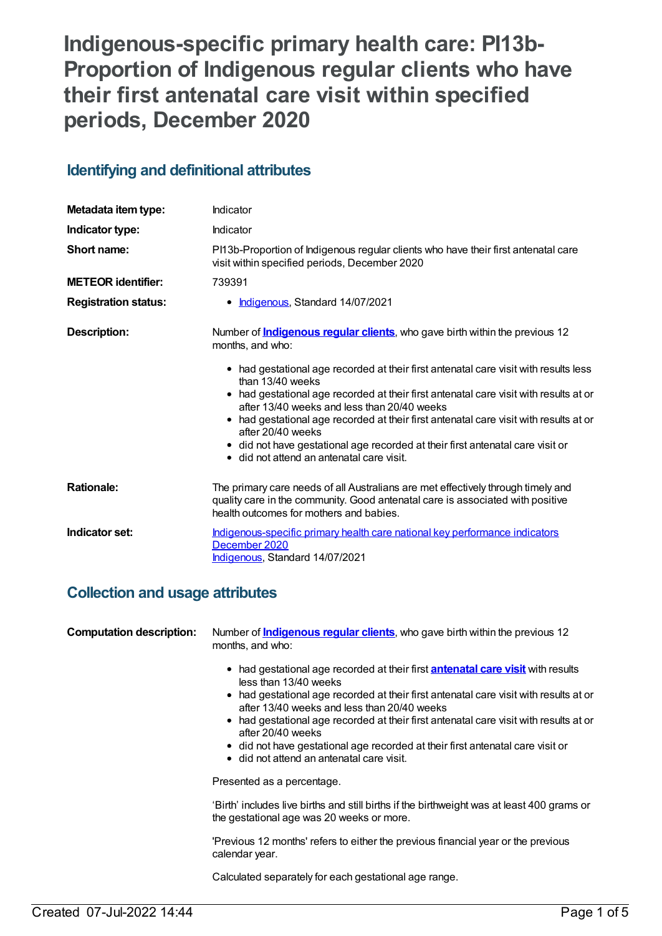# **Indigenous-specific primary health care: PI13b-Proportion of Indigenous regular clients who have their first antenatal care visit within specified periods, December 2020**

## **Identifying and definitional attributes**

| Metadata item type:         | Indicator                                                                                                                                                                                                                                                                                                                                                                                                                                                                                     |  |
|-----------------------------|-----------------------------------------------------------------------------------------------------------------------------------------------------------------------------------------------------------------------------------------------------------------------------------------------------------------------------------------------------------------------------------------------------------------------------------------------------------------------------------------------|--|
| Indicator type:             | Indicator                                                                                                                                                                                                                                                                                                                                                                                                                                                                                     |  |
| Short name:                 | PI13b-Proportion of Indigenous regular clients who have their first antenatal care<br>visit within specified periods, December 2020                                                                                                                                                                                                                                                                                                                                                           |  |
| <b>METEOR</b> identifier:   | 739391                                                                                                                                                                                                                                                                                                                                                                                                                                                                                        |  |
| <b>Registration status:</b> | • Indigenous, Standard 14/07/2021                                                                                                                                                                                                                                                                                                                                                                                                                                                             |  |
| <b>Description:</b>         | Number of <b>Indigenous regular clients</b> , who gave birth within the previous 12<br>months, and who:                                                                                                                                                                                                                                                                                                                                                                                       |  |
|                             | • had gestational age recorded at their first antenatal care visit with results less<br>than 13/40 weeks<br>• had gestational age recorded at their first antenatal care visit with results at or<br>after 13/40 weeks and less than 20/40 weeks<br>• had gestational age recorded at their first antenatal care visit with results at or<br>after 20/40 weeks<br>• did not have gestational age recorded at their first antenatal care visit or<br>• did not attend an antenatal care visit. |  |
| <b>Rationale:</b>           | The primary care needs of all Australians are met effectively through timely and<br>quality care in the community. Good antenatal care is associated with positive<br>health outcomes for mothers and babies.                                                                                                                                                                                                                                                                                 |  |
| Indicator set:              | Indigenous-specific primary health care national key performance indicators<br>December 2020<br>Indigenous, Standard 14/07/2021                                                                                                                                                                                                                                                                                                                                                               |  |

## **Collection and usage attributes**

| <b>Computation description:</b> | Number of <b>Indigenous regular clients</b> , who gave birth within the previous 12<br>months, and who:<br>• had gestational age recorded at their first <b>antenatal care visit</b> with results<br>less than 13/40 weeks<br>• had gestational age recorded at their first antenatal care visit with results at or<br>after 13/40 weeks and less than 20/40 weeks<br>• had gestational age recorded at their first antenatal care visit with results at or<br>after 20/40 weeks<br>• did not have gestational age recorded at their first antenatal care visit or<br>• did not attend an antenatal care visit. |
|---------------------------------|-----------------------------------------------------------------------------------------------------------------------------------------------------------------------------------------------------------------------------------------------------------------------------------------------------------------------------------------------------------------------------------------------------------------------------------------------------------------------------------------------------------------------------------------------------------------------------------------------------------------|
|                                 | Presented as a percentage.                                                                                                                                                                                                                                                                                                                                                                                                                                                                                                                                                                                      |
|                                 | 'Birth' includes live births and still births if the birthweight was at least 400 grams or<br>the gestational age was 20 weeks or more.                                                                                                                                                                                                                                                                                                                                                                                                                                                                         |
|                                 | 'Previous 12 months' refers to either the previous financial year or the previous<br>calendar year.                                                                                                                                                                                                                                                                                                                                                                                                                                                                                                             |
|                                 | Calculated separately for each gestational age range.                                                                                                                                                                                                                                                                                                                                                                                                                                                                                                                                                           |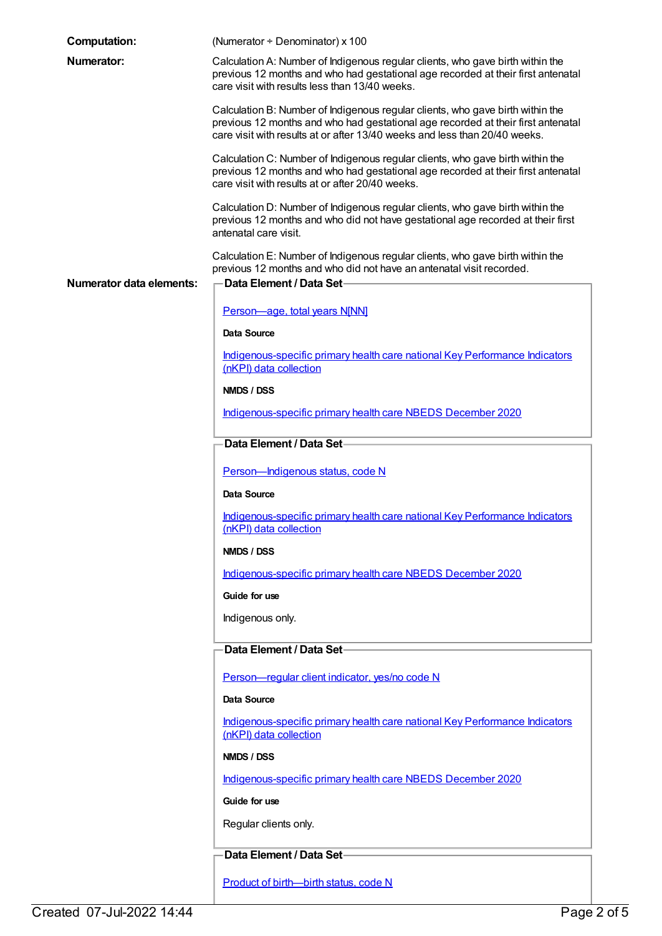| <b>Computation:</b>      | (Numerator + Denominator) x 100                                                                                                                                                                                                                  |
|--------------------------|--------------------------------------------------------------------------------------------------------------------------------------------------------------------------------------------------------------------------------------------------|
| <b>Numerator:</b>        | Calculation A: Number of Indigenous regular clients, who gave birth within the<br>previous 12 months and who had gestational age recorded at their first antenatal<br>care visit with results less than 13/40 weeks.                             |
|                          | Calculation B: Number of Indigenous regular clients, who gave birth within the<br>previous 12 months and who had gestational age recorded at their first antenatal<br>care visit with results at or after 13/40 weeks and less than 20/40 weeks. |
|                          | Calculation C: Number of Indigenous regular clients, who gave birth within the<br>previous 12 months and who had gestational age recorded at their first antenatal<br>care visit with results at or after 20/40 weeks.                           |
|                          | Calculation D: Number of Indigenous regular clients, who gave birth within the<br>previous 12 months and who did not have gestational age recorded at their first<br>antenatal care visit.                                                       |
| Numerator data elements: | Calculation E: Number of Indigenous regular clients, who gave birth within the<br>previous 12 months and who did not have an antenatal visit recorded.<br>Data Element / Data Set-                                                               |
|                          | Person-age, total years N[NN]                                                                                                                                                                                                                    |
|                          | Data Source                                                                                                                                                                                                                                      |
|                          | Indigenous-specific primary health care national Key Performance Indicators<br>(nKPI) data collection                                                                                                                                            |
|                          | NMDS / DSS                                                                                                                                                                                                                                       |
|                          | Indigenous-specific primary health care NBEDS December 2020                                                                                                                                                                                      |
|                          | Data Element / Data Set                                                                                                                                                                                                                          |
|                          | Person-Indigenous status, code N                                                                                                                                                                                                                 |
|                          | Data Source                                                                                                                                                                                                                                      |
|                          | Indigenous-specific primary health care national Key Performance Indicators<br>(nKPI) data collection                                                                                                                                            |
|                          | NMDS / DSS                                                                                                                                                                                                                                       |
|                          | Indigenous-specific primary health care NBEDS December 2020                                                                                                                                                                                      |
|                          | Guide for use                                                                                                                                                                                                                                    |
|                          | Indigenous only.                                                                                                                                                                                                                                 |
|                          | Data Element / Data Set-                                                                                                                                                                                                                         |
|                          | Person-regular client indicator, yes/no code N                                                                                                                                                                                                   |
|                          | Data Source                                                                                                                                                                                                                                      |
|                          | Indigenous-specific primary health care national Key Performance Indicators<br>(nKPI) data collection                                                                                                                                            |
|                          | NMDS / DSS                                                                                                                                                                                                                                       |
|                          | Indigenous-specific primary health care NBEDS December 2020                                                                                                                                                                                      |
|                          | Guide for use                                                                                                                                                                                                                                    |
|                          | Regular clients only.                                                                                                                                                                                                                            |
|                          | Data Element / Data Set-                                                                                                                                                                                                                         |
|                          | Product of birth-birth status, code N                                                                                                                                                                                                            |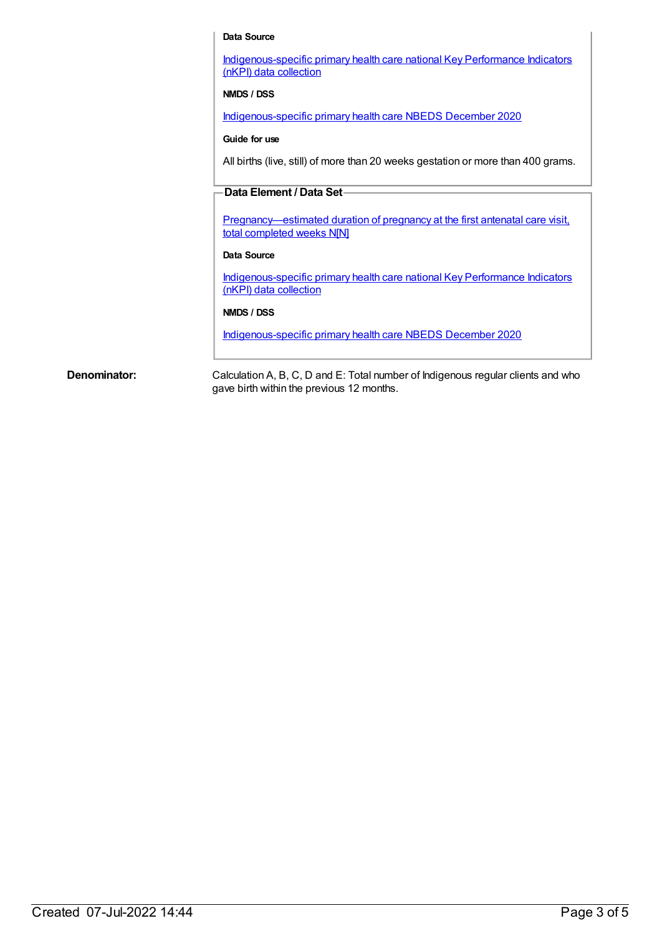#### **Data Source**

[Indigenous-specific](https://meteor.aihw.gov.au/content/737914) primary health care national Key Performance Indicators (nKPI) data collection

### **NMDS / DSS**

[Indigenous-specific](https://meteor.aihw.gov.au/content/738532) primary health care NBEDS December 2020

#### **Guide for use**

All births (live, still) of more than 20 weeks gestation or more than 400 grams.

#### **Data Element / Data Set**

[Pregnancy—estimated](https://meteor.aihw.gov.au/content/732908) duration of pregnancy at the first antenatal care visit, total completed weeks N[N]

#### **Data Source**

[Indigenous-specific](https://meteor.aihw.gov.au/content/737914) primary health care national Key Performance Indicators (nKPI) data collection

#### **NMDS / DSS**

[Indigenous-specific](https://meteor.aihw.gov.au/content/738532) primary health care NBEDS December 2020

**Denominator:** Calculation A, B, C, D and E: Total number of Indigenous regular clients and who gave birth within the previous 12 months.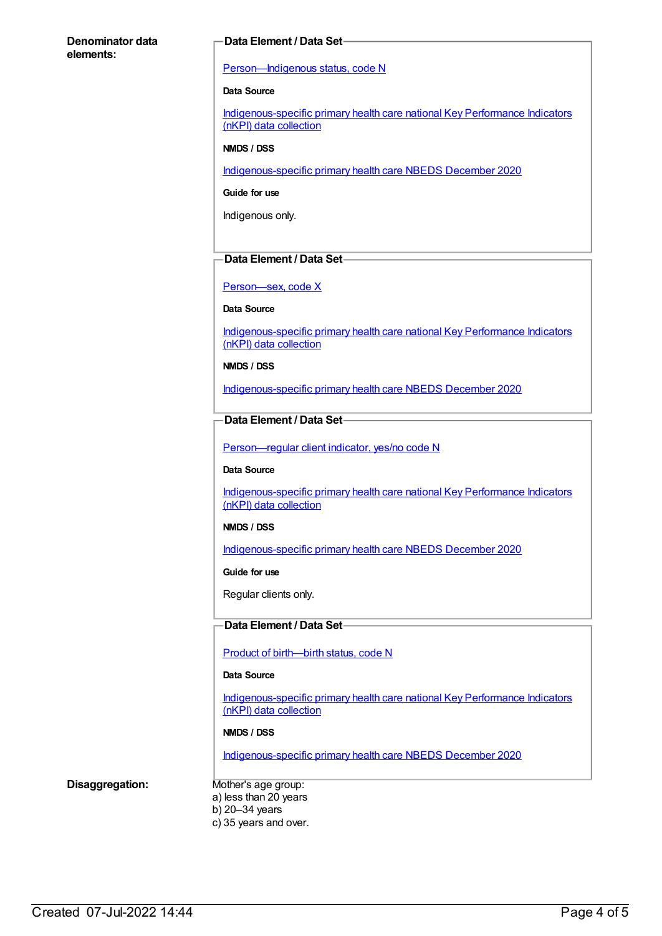#### **Denominator data elements:**

#### **Data Element / Data Set**

#### [Person—Indigenous](https://meteor.aihw.gov.au/content/602543) status, code N

### **Data Source**

[Indigenous-specific](https://meteor.aihw.gov.au/content/737914) primary health care national Key Performance Indicators (nKPI) data collection

#### **NMDS / DSS**

[Indigenous-specific](https://meteor.aihw.gov.au/content/738532) primary health care NBEDS December 2020

**Guide for use**

Indigenous only.

### **Data Element / Data Set**

#### [Person—sex,](https://meteor.aihw.gov.au/content/635126) code X

**Data Source**

[Indigenous-specific](https://meteor.aihw.gov.au/content/737914) primary health care national Key Performance Indicators (nKPI) data collection

#### **NMDS / DSS**

[Indigenous-specific](https://meteor.aihw.gov.au/content/738532) primary health care NBEDS December 2020

#### **Data Element / Data Set**

[Person—regular](https://meteor.aihw.gov.au/content/686291) client indicator, yes/no code N

#### **Data Source**

[Indigenous-specific](https://meteor.aihw.gov.au/content/737914) primary health care national Key Performance Indicators (nKPI) data collection

#### **NMDS / DSS**

[Indigenous-specific](https://meteor.aihw.gov.au/content/738532) primary health care NBEDS December 2020

#### **Guide for use**

Regular clients only.

#### **Data Element / Data Set**

Product of [birth—birth](https://meteor.aihw.gov.au/content/732895) status, code N

#### **Data Source**

[Indigenous-specific](https://meteor.aihw.gov.au/content/737914) primary health care national Key Performance Indicators (nKPI) data collection

#### **NMDS / DSS**

[Indigenous-specific](https://meteor.aihw.gov.au/content/738532) primary health care NBEDS December 2020

**Disaggregation:** Mother's age group:

a) less than 20 years

b) 20–34 years

c) 35 years and over.